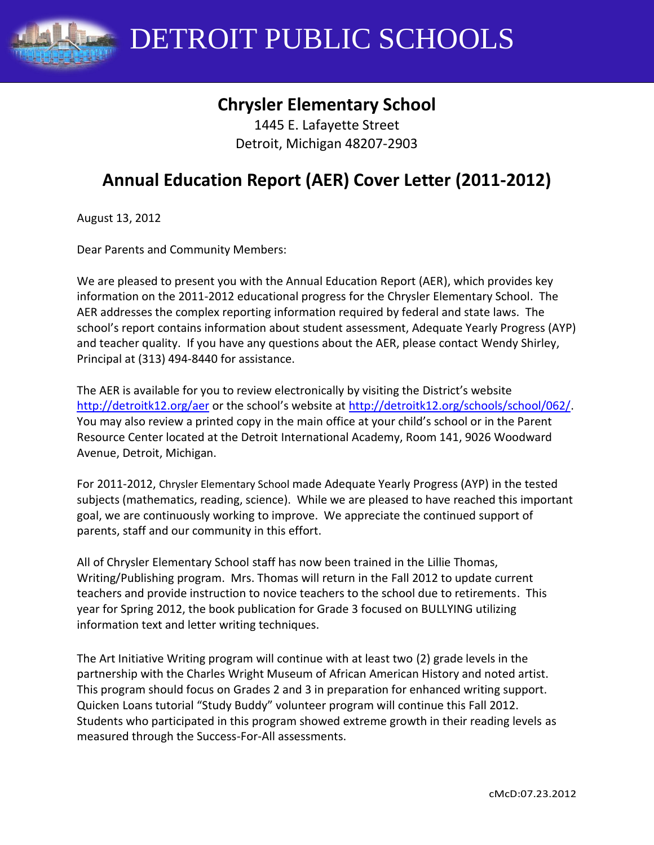

# **Chrysler Elementary School**

1445 E. Lafayette Street Detroit, Michigan 48207-2903

# **Annual Education Report (AER) Cover Letter (2011-2012)**

August 13, 2012

Dear Parents and Community Members:

We are pleased to present you with the Annual Education Report (AER), which provides key information on the 2011-2012 educational progress for the Chrysler Elementary School. The AER addresses the complex reporting information required by federal and state laws. The school's report contains information about student assessment, Adequate Yearly Progress (AYP) and teacher quality. If you have any questions about the AER, please contact Wendy Shirley, Principal at (313) 494-8440 for assistance.

The AER is available for you to review electronically by visiting the District's website <http://detroitk12.org/aer> or the school's website at [http://detroitk12.org/schools/school/062/.](http://detroitk12.org/schools/school/062/) You may also review a printed copy in the main office at your child's school or in the Parent Resource Center located at the Detroit International Academy, Room 141, 9026 Woodward Avenue, Detroit, Michigan.

For 2011-2012, Chrysler Elementary School made Adequate Yearly Progress (AYP) in the tested subjects (mathematics, reading, science). While we are pleased to have reached this important goal, we are continuously working to improve. We appreciate the continued support of parents, staff and our community in this effort.

All of Chrysler Elementary School staff has now been trained in the Lillie Thomas, Writing/Publishing program. Mrs. Thomas will return in the Fall 2012 to update current teachers and provide instruction to novice teachers to the school due to retirements. This year for Spring 2012, the book publication for Grade 3 focused on BULLYING utilizing information text and letter writing techniques.

The Art Initiative Writing program will continue with at least two (2) grade levels in the partnership with the Charles Wright Museum of African American History and noted artist. This program should focus on Grades 2 and 3 in preparation for enhanced writing support. Quicken Loans tutorial "Study Buddy" volunteer program will continue this Fall 2012. Students who participated in this program showed extreme growth in their reading levels as measured through the Success-For-All assessments.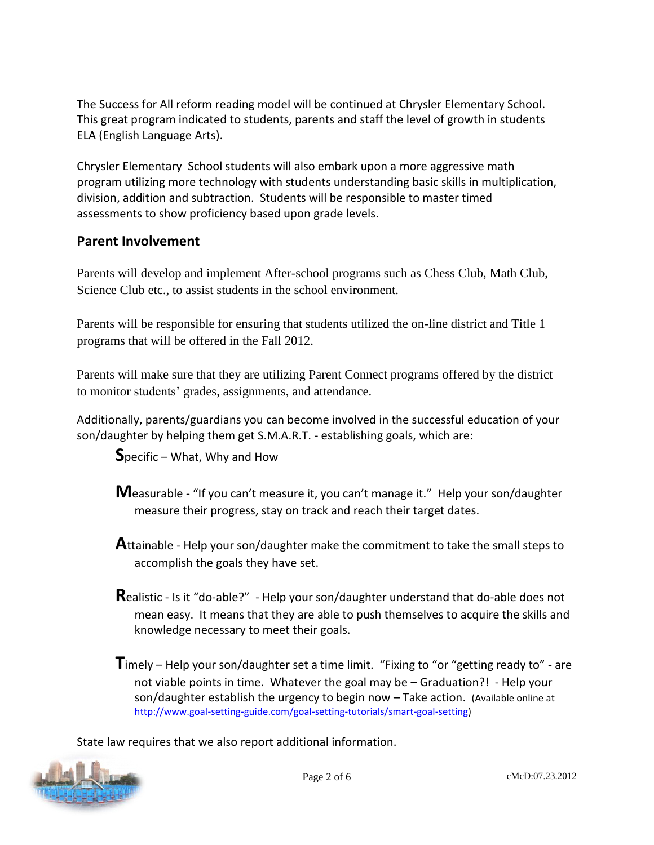The Success for All reform reading model will be continued at Chrysler Elementary School. This great program indicated to students, parents and staff the level of growth in students ELA (English Language Arts).

Chrysler Elementary School students will also embark upon a more aggressive math program utilizing more technology with students understanding basic skills in multiplication, division, addition and subtraction. Students will be responsible to master timed assessments to show proficiency based upon grade levels.

### **Parent Involvement**

Parents will develop and implement After-school programs such as Chess Club, Math Club, Science Club etc., to assist students in the school environment.

Parents will be responsible for ensuring that students utilized the on-line district and Title 1 programs that will be offered in the Fall 2012.

Parents will make sure that they are utilizing Parent Connect programs offered by the district to monitor students' grades, assignments, and attendance.

Additionally, parents/guardians you can become involved in the successful education of your son/daughter by helping them get S.M.A.R.T. - establishing goals, which are:

**S**pecific – What, Why and How

- **M**easurable "If you can't measure it, you can't manage it." Help your son/daughter measure their progress, stay on track and reach their target dates.
- **A**ttainable Help your son/daughter make the commitment to take the small steps to accomplish the goals they have set.
- **R**ealistic Is it "do-able?" Help your son/daughter understand that do-able does not mean easy. It means that they are able to push themselves to acquire the skills and knowledge necessary to meet their goals.

**T**imely – Help your son/daughter set a time limit. "Fixing to "or "getting ready to" - are not viable points in time. Whatever the goal may be – Graduation?! - Help your son/daughter establish the urgency to begin now – Take action. (Available online at [http://www.goal-setting-guide.com/goal-setting-tutorials/smart-goal-setting\)](http://www.goal-setting-guide.com/goal-setting-tutorials/smart-goal-setting)

State law requires that we also report additional information.

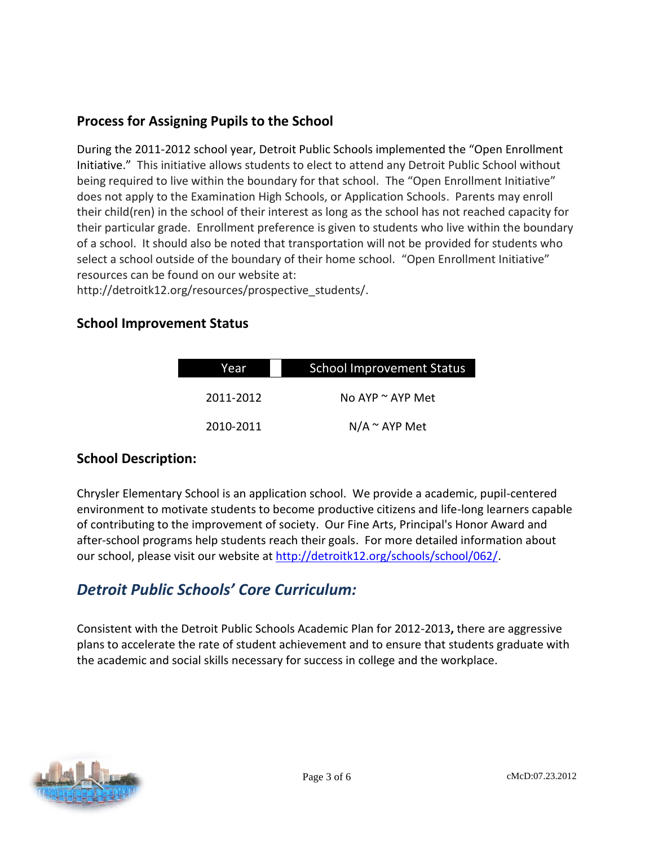### **Process for Assigning Pupils to the School**

During the 2011-2012 school year, Detroit Public Schools implemented the "Open Enrollment Initiative." This initiative allows students to elect to attend any Detroit Public School without being required to live within the boundary for that school. The "Open Enrollment Initiative" does not apply to the Examination High Schools, or Application Schools. Parents may enroll their child(ren) in the school of their interest as long as the school has not reached capacity for their particular grade. Enrollment preference is given to students who live within the boundary of a school. It should also be noted that transportation will not be provided for students who select a school outside of the boundary of their home school. "Open Enrollment Initiative" resources can be found on our website at:

http://detroitk12.org/resources/prospective\_students/.

### **School Improvement Status**

| Year      | <b>School Improvement Status</b> |  |
|-----------|----------------------------------|--|
| 2011-2012 | No AYP $\sim$ AYP Met            |  |
| 2010-2011 | $N/A \sim AYP$ Met               |  |

### **School Description:**

Chrysler Elementary School is an application school. We provide a academic, pupil-centered environment to motivate students to become productive citizens and life-long learners capable of contributing to the improvement of society. Our Fine Arts, Principal's Honor Award and after-school programs help students reach their goals. For more detailed information about our school, please visit our website at [http://detroitk12.org/schools/school/062/.](http://detroitk12.org/schools/school/062/)

## *Detroit Public Schools' Core Curriculum:*

Consistent with the Detroit Public Schools Academic Plan for 2012-2013**,** there are aggressive plans to accelerate the rate of student achievement and to ensure that students graduate with the academic and social skills necessary for success in college and the workplace.

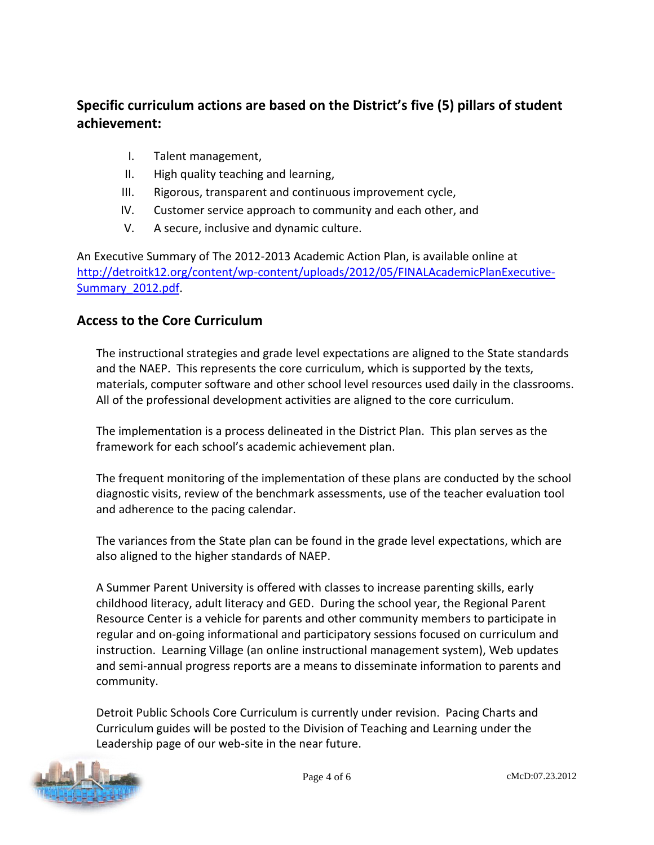### **Specific curriculum actions are based on the District's five (5) pillars of student achievement:**

- I. Talent management,
- II. High quality teaching and learning,
- III. Rigorous, transparent and continuous improvement cycle,
- IV. Customer service approach to community and each other, and
- V. A secure, inclusive and dynamic culture.

An Executive Summary of The 2012-2013 Academic Action Plan, is available online at [http://detroitk12.org/content/wp-content/uploads/2012/05/FINALAcademicPlanExecutive-](http://detroitk12.org/content/wp-content/uploads/2012/05/FINALAcademicPlanExecutive-Summary_2012.pdf)[Summary\\_2012.pdf](http://detroitk12.org/content/wp-content/uploads/2012/05/FINALAcademicPlanExecutive-Summary_2012.pdf).

### **Access to the Core Curriculum**

The instructional strategies and grade level expectations are aligned to the State standards and the NAEP. This represents the core curriculum, which is supported by the texts, materials, computer software and other school level resources used daily in the classrooms. All of the professional development activities are aligned to the core curriculum.

The implementation is a process delineated in the District Plan. This plan serves as the framework for each school's academic achievement plan.

The frequent monitoring of the implementation of these plans are conducted by the school diagnostic visits, review of the benchmark assessments, use of the teacher evaluation tool and adherence to the pacing calendar.

The variances from the State plan can be found in the grade level expectations, which are also aligned to the higher standards of NAEP.

A Summer Parent University is offered with classes to increase parenting skills, early childhood literacy, adult literacy and GED. During the school year, the Regional Parent Resource Center is a vehicle for parents and other community members to participate in regular and on-going informational and participatory sessions focused on curriculum and instruction. Learning Village (an online instructional management system), Web updates and semi-annual progress reports are a means to disseminate information to parents and community.

Detroit Public Schools Core Curriculum is currently under revision. Pacing Charts and Curriculum guides will be posted to the Division of Teaching and Learning under the Leadership page of our web-site in the near future.

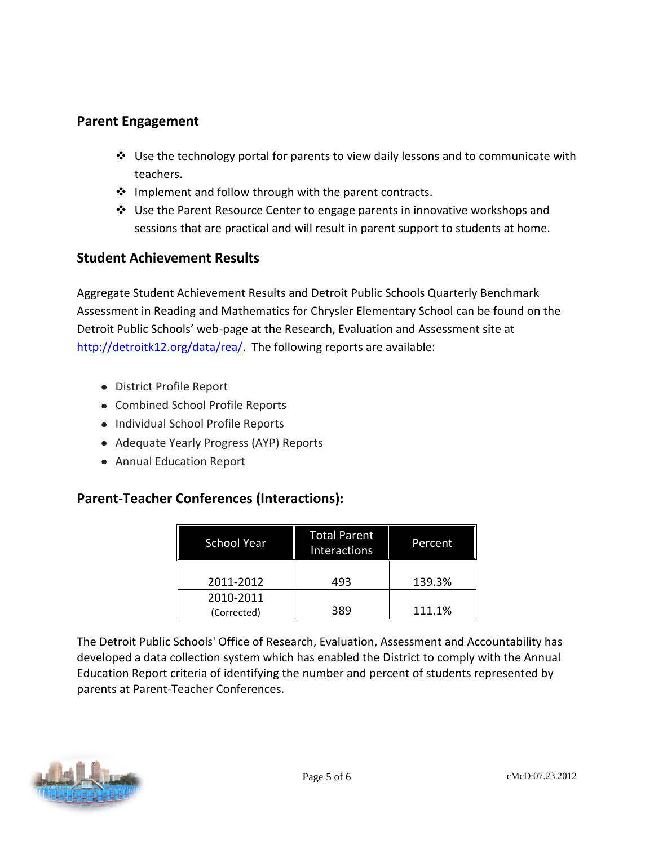### **Parent Engagement**

- $\div$  Use the technology portal for parents to view daily lessons and to communicate with teachers.
- $\cdot$  Implement and follow through with the parent contracts.
- Use the Parent Resource Center to engage parents in innovative workshops and sessions that are practical and will result in parent support to students at home.

### **Student Achievement Results**

Aggregate Student Achievement Results and Detroit Public Schools Quarterly Benchmark Assessment in Reading and Mathematics for Chrysler Elementary School can be found on the Detroit Public Schools' web-page at the Research, Evaluation and Assessment site at [http://detroitk12.org/data/rea/.](http://detroitk12.org/data/rea/) The following reports are available:

- District Profile Report
- Combined School Profile Reports
- Individual School Profile Reports
- Adequate Yearly Progress (AYP) Reports
- Annual Education Report

### **Parent-Teacher Conferences (Interactions):**

| <b>School Year</b>       | <b>Total Parent</b><br><b>Interactions</b> | Percent |
|--------------------------|--------------------------------------------|---------|
| 2011-2012                | 493                                        | 139.3%  |
| 2010-2011<br>(Corrected) | 389                                        | 111.1%  |

The Detroit Public Schools' Office of Research, Evaluation, Assessment and Accountability has developed a data collection system which has enabled the District to comply with the Annual Education Report criteria of identifying the number and percent of students represented by parents at Parent-Teacher Conferences.